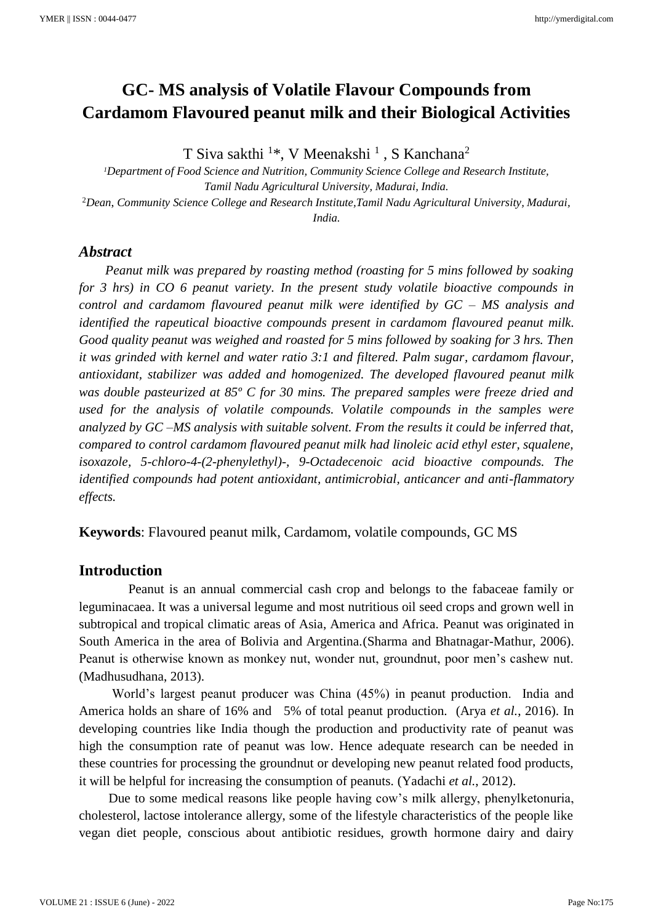# **GC- MS analysis of Volatile Flavour Compounds from Cardamom Flavoured peanut milk and their Biological Activities**

T Siva sakthi <sup>1</sup>\*, V Meenakshi <sup>1</sup>, S Kanchana<sup>2</sup>

*<sup>1</sup>Department of Food Science and Nutrition, Community Science College and Research Institute, Tamil Nadu Agricultural University, Madurai, India.* <sup>2</sup>*Dean*, *Community Science College and Research Institute,Tamil Nadu Agricultural University, Madurai,* 

*India.*

#### *Abstract*

 *Peanut milk was prepared by roasting method (roasting for 5 mins followed by soaking for 3 hrs) in CO 6 peanut variety. In the present study volatile bioactive compounds in control and cardamom flavoured peanut milk were identified by GC – MS analysis and identified the rapeutical bioactive compounds present in cardamom flavoured peanut milk. Good quality peanut was weighed and roasted for 5 mins followed by soaking for 3 hrs. Then it was grinded with kernel and water ratio 3:1 and filtered. Palm sugar, cardamom flavour, antioxidant, stabilizer was added and homogenized. The developed flavoured peanut milk was double pasteurized at 85º C for 30 mins. The prepared samples were freeze dried and used for the analysis of volatile compounds. Volatile compounds in the samples were analyzed by GC –MS analysis with suitable solvent. From the results it could be inferred that, compared to control cardamom flavoured peanut milk had linoleic acid ethyl ester, squalene, isoxazole, 5-chloro-4-(2-phenylethyl)-, 9-Octadecenoic acid bioactive compounds. The identified compounds had potent antioxidant, antimicrobial, anticancer and anti-flammatory effects.*

**Keywords**: Flavoured peanut milk, Cardamom, volatile compounds, GC MS

# **Introduction**

 Peanut is an annual commercial cash crop and belongs to the fabaceae family or leguminacaea. It was a universal legume and most nutritious oil seed crops and grown well in subtropical and tropical climatic areas of Asia, America and Africa. Peanut was originated in South America in the area of Bolivia and Argentina.[\(Sharma and Bhatnagar-Mathur, 2006\)](#page-8-0). Peanut is otherwise known as monkey nut, wonder nut, groundnut, poor men's cashew nut. [\(Madhusudhana, 2013\)](#page-8-1).

 World's largest peanut producer was China (45%) in peanut production. India and America holds an share of 16% and 5% of total peanut production. (Arya *et al.*[, 2016\)](#page-8-2). In developing countries like India though the production and productivity rate of peanut was high the consumption rate of peanut was low. Hence adequate research can be needed in these countries for processing the groundnut or developing new peanut related food products, it will be helpful for increasing the consumption of peanuts. [\(Yadachi](#page-9-0) *et al.*, 2012).

 Due to some medical reasons like people having cow's milk allergy, phenylketonuria, cholesterol, lactose intolerance allergy, some of the lifestyle characteristics of the people like vegan diet people, conscious about antibiotic residues, growth hormone dairy and dairy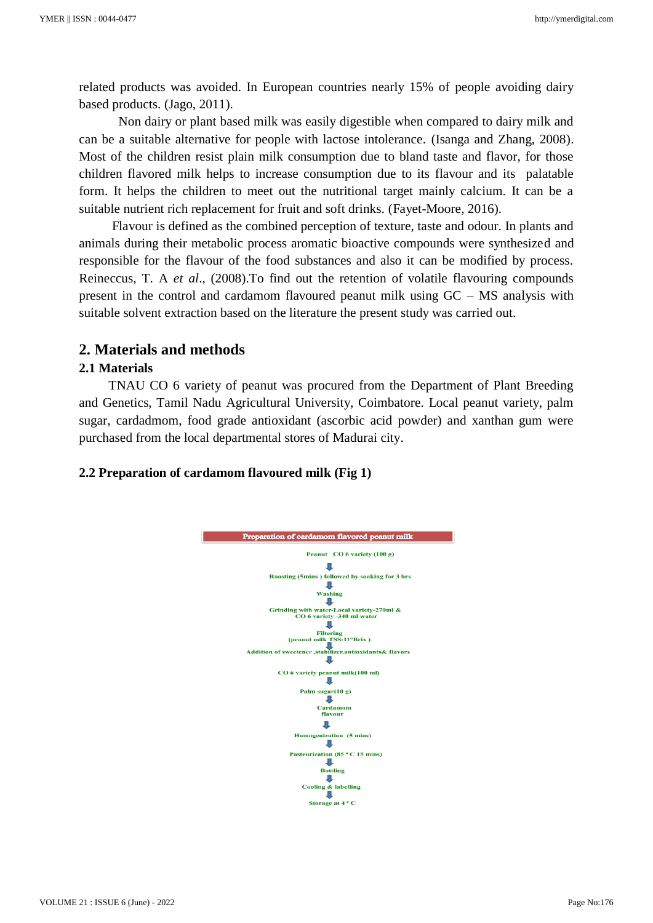related products was avoided. In European countries nearly 15% of people avoiding dairy based products. [\(Jago, 2011\)](#page-9-1).

Non dairy or plant based milk was easily digestible when compared to dairy milk and can be a suitable alternative for people with lactose intolerance. (Isanga and Zhang, 2008). Most of the children resist plain milk consumption due to bland taste and flavor, for those children flavored milk helps to increase consumption due to its flavour and its palatable form. It helps the children to meet out the nutritional target mainly calcium. It can be a suitable nutrient rich replacement for fruit and soft drinks. [\(Fayet-Moore, 2016\)](#page-9-2).

 Flavour is defined as the combined perception of texture, taste and odour. In plants and animals during their metabolic process aromatic bioactive compounds were synthesized and responsible for the flavour of the food substances and also it can be modified by process. Reineccus, T. A *et al*., (2008).To find out the retention of volatile flavouring compounds present in the control and cardamom flavoured peanut milk using GC – MS analysis with suitable solvent extraction based on the literature the present study was carried out.

## **2. Materials and methods**

#### **2.1 Materials**

 TNAU CO 6 variety of peanut was procured from the Department of Plant Breeding and Genetics, Tamil Nadu Agricultural University, Coimbatore. Local peanut variety, palm sugar, cardadmom, food grade antioxidant (ascorbic acid powder) and xanthan gum were purchased from the local departmental stores of Madurai city.

#### **2.2 Preparation of cardamom flavoured milk (Fig 1)**

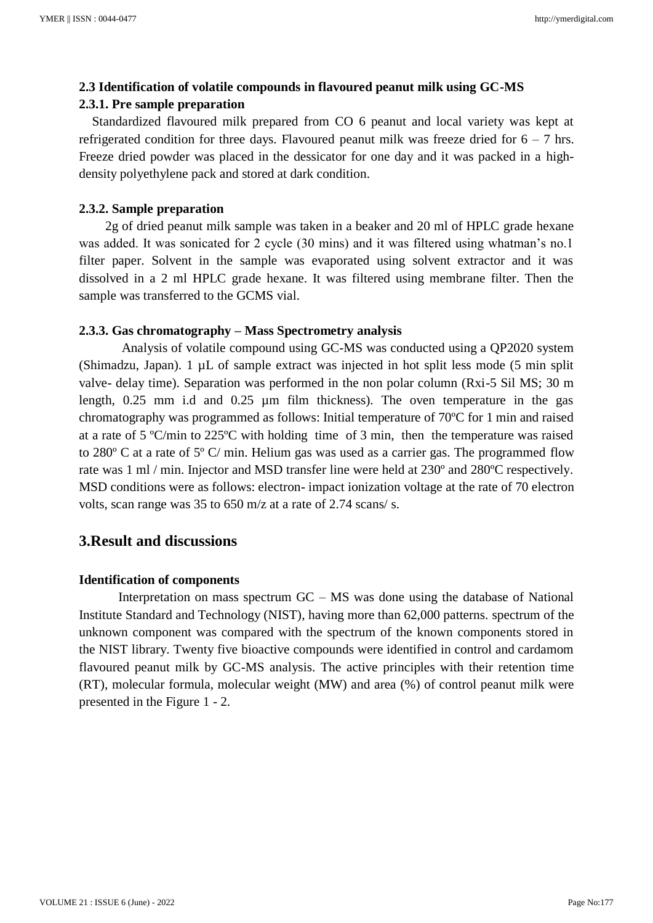## **2.3 Identification of volatile compounds in flavoured peanut milk using GC-MS**

#### **2.3.1. Pre sample preparation**

Standardized flavoured milk prepared from CO 6 peanut and local variety was kept at refrigerated condition for three days. Flavoured peanut milk was freeze dried for  $6 - 7$  hrs. Freeze dried powder was placed in the dessicator for one day and it was packed in a highdensity polyethylene pack and stored at dark condition.

#### **2.3.2. Sample preparation**

 2g of dried peanut milk sample was taken in a beaker and 20 ml of HPLC grade hexane was added. It was sonicated for 2 cycle (30 mins) and it was filtered using whatman's no.1 filter paper. Solvent in the sample was evaporated using solvent extractor and it was dissolved in a 2 ml HPLC grade hexane. It was filtered using membrane filter. Then the sample was transferred to the GCMS vial.

## **2.3.3. Gas chromatography – Mass Spectrometry analysis**

Analysis of volatile compound using GC-MS was conducted using a QP2020 system (Shimadzu, Japan). 1 µL of sample extract was injected in hot split less mode (5 min split valve- delay time). Separation was performed in the non polar column (Rxi-5 Sil MS; 30 m length, 0.25 mm i.d and 0.25 µm film thickness). The oven temperature in the gas chromatography was programmed as follows: Initial temperature of 70ºC for 1 min and raised at a rate of 5 ºC/min to 225ºC with holding time of 3 min, then the temperature was raised to 280º C at a rate of 5º C/ min. Helium gas was used as a carrier gas. The programmed flow rate was 1 ml / min. Injector and MSD transfer line were held at 230º and 280ºC respectively. MSD conditions were as follows: electron- impact ionization voltage at the rate of 70 electron volts, scan range was 35 to 650 m/z at a rate of 2.74 scans/ s.

# **3.Result and discussions**

#### **Identification of components**

Interpretation on mass spectrum GC – MS was done using the database of National Institute Standard and Technology (NIST), having more than 62,000 patterns. spectrum of the unknown component was compared with the spectrum of the known components stored in the NIST library. Twenty five bioactive compounds were identified in control and cardamom flavoured peanut milk by GC-MS analysis. The active principles with their retention time (RT), molecular formula, molecular weight (MW) and area (%) of control peanut milk were presented in the Figure 1 - 2.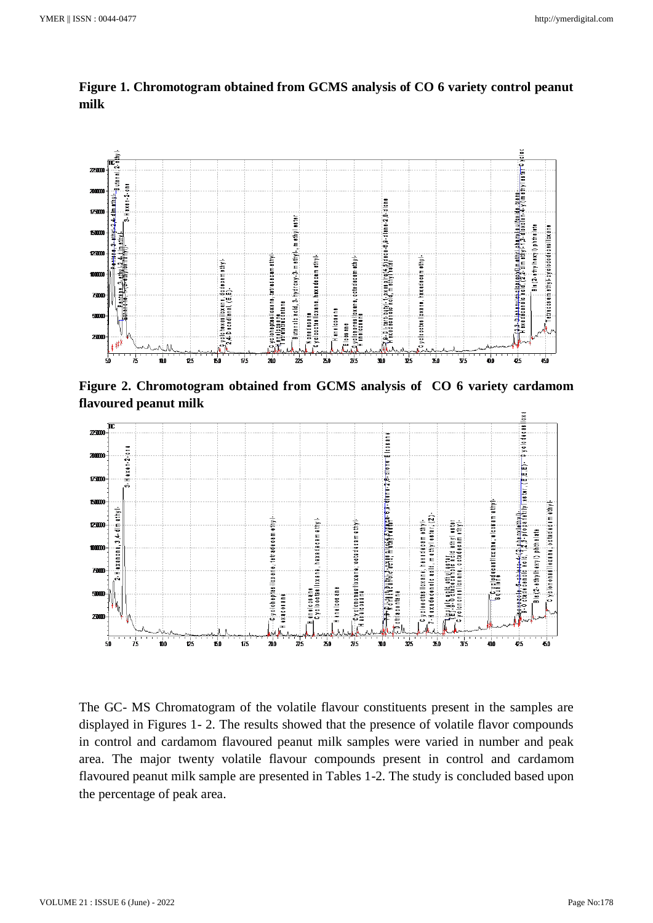

**Figure 1. Chromotogram obtained from GCMS analysis of CO 6 variety control peanut milk**

**Figure 2. Chromotogram obtained from GCMS analysis of CO 6 variety cardamom flavoured peanut milk**



The GC- MS Chromatogram of the volatile flavour constituents present in the samples are displayed in Figures 1- 2. The results showed that the presence of volatile flavor compounds in control and cardamom flavoured peanut milk samples were varied in number and peak area. The major twenty volatile flavour compounds present in control and cardamom flavoured peanut milk sample are presented in Tables 1-2. The study is concluded based upon the percentage of peak area.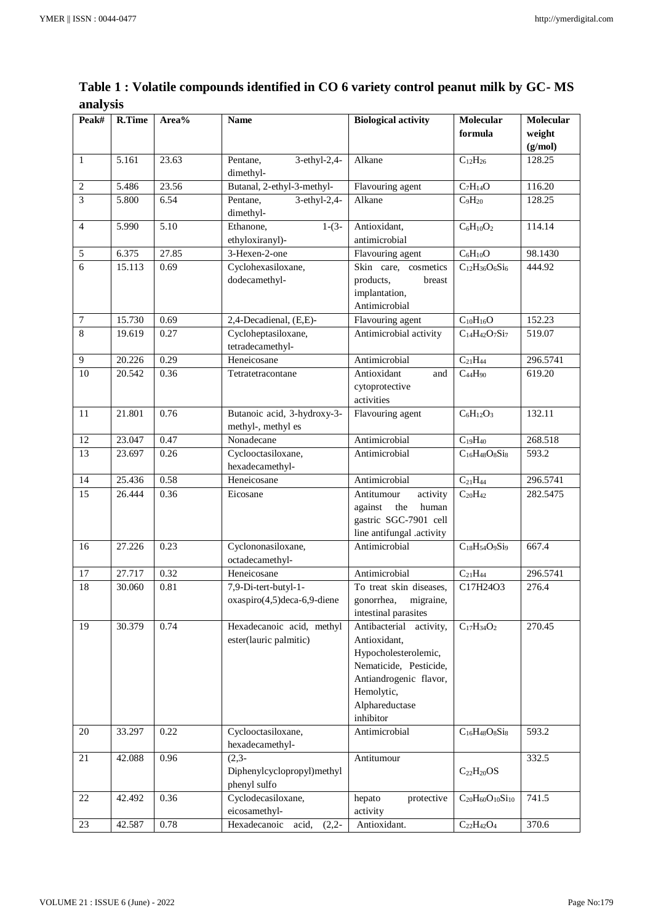| Peak#          | <b>R.Time</b> | Area% | <b>Name</b>                                           | <b>Biological activity</b>                                                                                                                                       | <b>Molecular</b><br>formula      | <b>Molecular</b><br>weight |
|----------------|---------------|-------|-------------------------------------------------------|------------------------------------------------------------------------------------------------------------------------------------------------------------------|----------------------------------|----------------------------|
|                |               |       |                                                       |                                                                                                                                                                  |                                  | (g/mol)                    |
| $\mathbf{1}$   | 5.161         | 23.63 | 3-ethyl-2,4-<br>Pentane,<br>dimethyl-                 | Alkane                                                                                                                                                           | $C_{12}H_{26}$                   | 128.25                     |
| $\overline{c}$ | 5.486         | 23.56 | Butanal, 2-ethyl-3-methyl-                            | Flavouring agent                                                                                                                                                 | C <sub>7</sub> H <sub>14</sub> O | 116.20                     |
| $\overline{3}$ | 5.800         | 6.54  | 3-ethyl-2,4-<br>Pentane,<br>dimethyl-                 | Alkane                                                                                                                                                           | $C_9H_{20}$                      | 128.25                     |
| $\overline{4}$ | 5.990         | 5.10  | $1-(3-$<br>Ethanone,<br>ethyloxiranyl)-               | Antioxidant,<br>antimicrobial                                                                                                                                    | $C_6H_{10}O_2$                   | 114.14                     |
| 5              | 6.375         | 27.85 | 3-Hexen-2-one                                         | Flavouring agent                                                                                                                                                 | $C_6H_{10}O$                     | 98.1430                    |
| 6              | 15.113        | 0.69  | Cyclohexasiloxane,<br>dodecamethyl-                   | Skin care, cosmetics<br>products,<br>breast<br>implantation,<br>Antimicrobial                                                                                    | $C_{12}H_{36}O_6Si_6$            | 444.92                     |
| $\tau$         | 15.730        | 0.69  | 2,4-Decadienal, (E,E)-                                | Flavouring agent                                                                                                                                                 | $C_{10}H_{16}O$                  | 152.23                     |
| 8              | 19.619        | 0.27  | Cycloheptasiloxane,<br>tetradecamethyl-               | Antimicrobial activity                                                                                                                                           | $C_{14}H_{42}O_7Si_7$            | 519.07                     |
| 9              | 20.226        | 0.29  | Heneicosane                                           | Antimicrobial                                                                                                                                                    | $C_{21}H_{44}$                   | 296.5741                   |
| 10             | 20.542        | 0.36  | Tetratetracontane                                     | Antioxidant<br>and<br>cytoprotective<br>activities                                                                                                               | $C_{44}H_{90}$                   | 619.20                     |
| 11             | 21.801        | 0.76  | Butanoic acid, 3-hydroxy-3-<br>methyl-, methyl es     | Flavouring agent                                                                                                                                                 | $C_6H_{12}O_3$                   | 132.11                     |
| 12             | 23.047        | 0.47  | Nonadecane                                            | Antimicrobial                                                                                                                                                    | $C_{19}H_{40}$                   | 268.518                    |
| 13             | 23.697        | 0.26  | Cyclooctasiloxane,<br>hexadecamethyl-                 | Antimicrobial                                                                                                                                                    | $C_{16}H_{48}O_8Si_8$            | 593.2                      |
| 14             | 25.436        | 0.58  | Heneicosane                                           | Antimicrobial                                                                                                                                                    | $C_{21}H_{44}$                   | 296.5741                   |
| 15             | 26.444        | 0.36  | Eicosane                                              | Antitumour<br>activity<br>human<br>against<br>the<br>gastric SGC-7901 cell<br>line antifungal .activity                                                          | $C_{20}H_{42}$                   | 282.5475                   |
| 16             | 27.226        | 0.23  | Cyclononasiloxane,<br>octadecamethyl-                 | Antimicrobial                                                                                                                                                    | $C_{18}H_{54}O_{9}Si_{9}$        | 667.4                      |
| 17             | 27.717        | 0.32  | Heneicosane                                           | Antimicrobial                                                                                                                                                    | $C_{21}H_{44}$                   | 296.5741                   |
| 18             | 30.060        | 0.81  | 7,9-Di-tert-butyl-1-<br>oxaspiro(4,5)deca-6,9-diene   | To treat skin diseases,<br>gonorrhea, migraine,<br>intestinal parasites                                                                                          | C17H24O3                         | 276.4                      |
| 19             | 30.379        | 0.74  | Hexadecanoic acid, methyl<br>ester(lauric palmitic)   | Antibacterial activity,<br>Antioxidant,<br>Hypocholesterolemic,<br>Nematicide, Pesticide,<br>Antiandrogenic flavor,<br>Hemolytic,<br>Alphareductase<br>inhibitor | $C_{17}H_{34}O_2$                | 270.45                     |
| 20             | 33.297        | 0.22  | Cyclooctasiloxane,<br>hexadecamethyl-                 | Antimicrobial                                                                                                                                                    | $C_{16}H_{48}O_8Si_8$            | 593.2                      |
| 21             | 42.088        | 0.96  | $(2,3-$<br>Diphenylcyclopropyl)methyl<br>phenyl sulfo | Antitumour                                                                                                                                                       | $C_{22}H_{20}OS$                 | 332.5                      |
| 22             | 42.492        | 0.36  | Cyclodecasiloxane,<br>eicosamethyl-                   | hepato<br>protective<br>activity                                                                                                                                 | $C_{20}H_{60}O_{10}Si_{10}$      | 741.5                      |
| 23             | 42.587        | 0.78  | Hexadecanoic<br>acid,<br>$(2,2-$                      | Antioxidant.                                                                                                                                                     | $\overline{C}_{22}H_{42}O_4$     | 370.6                      |

**Table 1 : Volatile compounds identified in CO 6 variety control peanut milk by GC- MS analysis**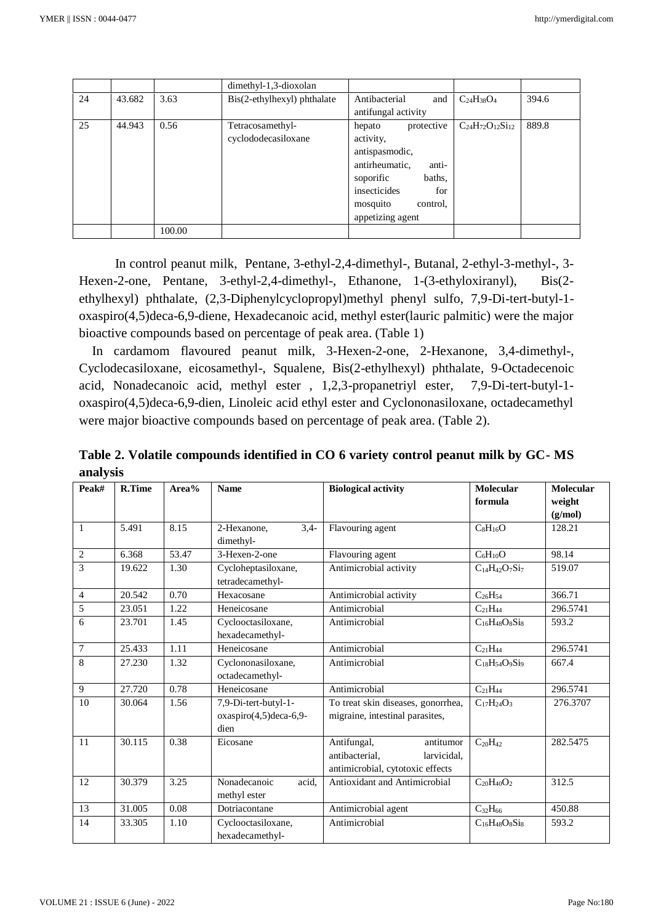|    |        |        | dimethyl-1,3-dioxolan       |                         |                             |       |
|----|--------|--------|-----------------------------|-------------------------|-----------------------------|-------|
| 24 | 43.682 | 3.63   | Bis(2-ethylhexyl) phthalate | Antibacterial<br>and    | $C_{24}H_{38}O_4$           | 394.6 |
|    |        |        |                             | antifungal activity     |                             |       |
| 25 | 44.943 | 0.56   | Tetracosamethyl-            | protective<br>hepato    | $C_{24}H_{72}O_{12}Si_{12}$ | 889.8 |
|    |        |        | cyclododecasiloxane         | activity,               |                             |       |
|    |        |        |                             | antispasmodic,          |                             |       |
|    |        |        |                             | antirheumatic,<br>anti- |                             |       |
|    |        |        |                             | baths,<br>soporific     |                             |       |
|    |        |        |                             | insecticides<br>for     |                             |       |
|    |        |        |                             | mosquito<br>control,    |                             |       |
|    |        |        |                             | appetizing agent        |                             |       |
|    |        | 100.00 |                             |                         |                             |       |

 In control peanut milk, Pentane, 3-ethyl-2,4-dimethyl-, Butanal, 2-ethyl-3-methyl-, 3- Hexen-2-one, Pentane, 3-ethyl-2,4-dimethyl-, Ethanone, 1-(3-ethyloxiranyl), Bis(2 ethylhexyl) phthalate, (2,3-Diphenylcyclopropyl)methyl phenyl sulfo, 7,9-Di-tert-butyl-1 oxaspiro(4,5)deca-6,9-diene, Hexadecanoic acid, methyl ester(lauric palmitic) were the major bioactive compounds based on percentage of peak area. (Table 1)

 In cardamom flavoured peanut milk, 3-Hexen-2-one, 2-Hexanone, 3,4-dimethyl-, Cyclodecasiloxane, eicosamethyl-, Squalene, Bis(2-ethylhexyl) phthalate, 9-Octadecenoic acid, Nonadecanoic acid, methyl ester , 1,2,3-propanetriyl ester, 7,9-Di-tert-butyl-1 oxaspiro(4,5)deca-6,9-dien, Linoleic acid ethyl ester and Cyclononasiloxane, octadecamethyl were major bioactive compounds based on percentage of peak area. (Table 2).

|          | Table 2. Volatile compounds identified in CO 6 variety control peanut milk by GC-MS |  |  |
|----------|-------------------------------------------------------------------------------------|--|--|
| analysis |                                                                                     |  |  |

| Peak#          | R.Time | Area% | <b>Name</b>                                               | <b>Biological activity</b>                                                                    | <b>Molecular</b><br>formula     | <b>Molecular</b><br>weight |
|----------------|--------|-------|-----------------------------------------------------------|-----------------------------------------------------------------------------------------------|---------------------------------|----------------------------|
|                |        |       |                                                           |                                                                                               |                                 | (g/mol)                    |
| $\mathbf{1}$   | 5.491  | 8.15  | $3,4-$<br>2-Hexanone.<br>dimethyl-                        | Flavouring agent                                                                              | CsH <sub>16</sub> O             | 128.21                     |
| $\overline{2}$ | 6.368  | 53.47 | 3-Hexen-2-one                                             | Flavouring agent                                                                              | $C_6H_{10}O$                    | 98.14                      |
| $\overline{3}$ | 19.622 | 1.30  | Cycloheptasiloxane,<br>tetradecamethyl-                   | Antimicrobial activity                                                                        | $C_{14}H_{42}O_7Si_7$           | 519.07                     |
| $\overline{4}$ | 20.542 | 0.70  | Hexacosane                                                | Antimicrobial activity                                                                        | $C_{26}H_{54}$                  | 366.71                     |
| 5              | 23.051 | 1.22  | Heneicosane                                               | Antimicrobial                                                                                 | $C_{21}H_{44}$                  | 296.5741                   |
| 6              | 23.701 | 1.45  | Cyclooctasiloxane,<br>hexadecamethyl-                     | Antimicrobial                                                                                 | $C_{16}H_{48}OsSi8$             | 593.2                      |
| $\overline{7}$ | 25.433 | 1.11  | Heneicosane                                               | Antimicrobial                                                                                 | $C_{21}H_{44}$                  | 296.5741                   |
| 8              | 27.230 | 1.32  | Cyclononasiloxane,<br>octadecamethyl-                     | Antimicrobial                                                                                 | $C_{18}H_{54}O_{9}Si_{9}$       | 667.4                      |
| 9              | 27.720 | 0.78  | Antimicrobial<br>Heneicosane                              |                                                                                               | $C_{21}H_{44}$                  | 296.5741                   |
| 10             | 30.064 | 1.56  | 7,9-Di-tert-butyl-1-<br>$oxaspiro(4,5)$ deca-6,9-<br>dien | To treat skin diseases, gonorrhea,<br>migraine, intestinal parasites,                         | $C_{17}H_{24}O_3$               | 276.3707                   |
| 11             | 30.115 | 0.38  | Eicosane                                                  | Antifungal,<br>antitumor<br>antibacterial.<br>larvicidal.<br>antimicrobial, cytotoxic effects | C <sub>20</sub> H <sub>42</sub> | 282.5475                   |
| 12             | 30.379 | 3.25  | Nonadecanoic<br>acid.<br>methyl ester                     | Antioxidant and Antimicrobial                                                                 | $C_{20}H_{40}O_2$               | 312.5                      |
| 13             | 31.005 | 0.08  | Dotriacontane                                             | Antimicrobial agent                                                                           | C <sub>32</sub> H <sub>66</sub> | 450.88                     |
| 14             | 33.305 | 1.10  | Cyclooctasiloxane,<br>hexadecamethyl-                     | Antimicrobial                                                                                 | $C_{16}H_{48}OsSi8$             | 593.2                      |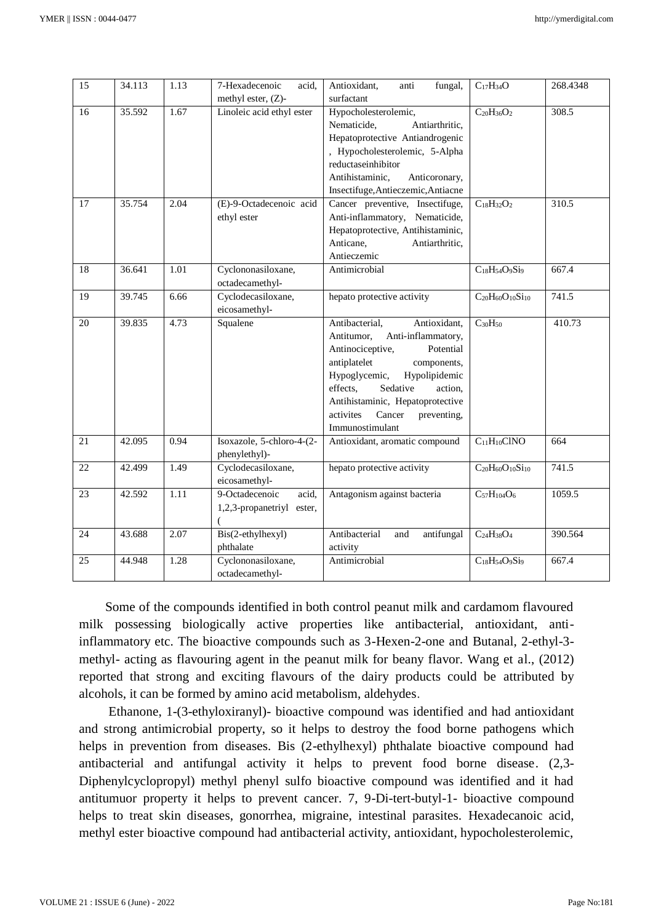| 15 | 34.113 | 1.13              | 7-Hexadecenoic<br>acid,   | Antioxidant,<br>fungal,<br>anti    | $C_{17}H_{34}O$             | 268.4348 |
|----|--------|-------------------|---------------------------|------------------------------------|-----------------------------|----------|
|    |        |                   | methyl ester, (Z)-        | surfactant                         |                             |          |
| 16 | 35.592 | $\overline{1.67}$ | Linoleic acid ethyl ester | Hypocholesterolemic,               | $C_{20}H_{36}O_2$           | 308.5    |
|    |        |                   |                           | Nematicide,<br>Antiarthritic,      |                             |          |
|    |        |                   |                           | Hepatoprotective Antiandrogenic    |                             |          |
|    |        |                   |                           | , Hypocholesterolemic, 5-Alpha     |                             |          |
|    |        |                   |                           | reductaseinhibitor                 |                             |          |
|    |        |                   |                           | Antihistaminic,<br>Anticoronary,   |                             |          |
|    |        |                   |                           | Insectifuge, Antieczemic, Antiacne |                             |          |
| 17 | 35.754 | 2.04              | (E)-9-Octadecenoic acid   | Cancer preventive, Insectifuge,    | $C_{18}H_{32}O_2$           | 310.5    |
|    |        |                   | ethyl ester               | Anti-inflammatory, Nematicide,     |                             |          |
|    |        |                   |                           | Hepatoprotective, Antihistaminic,  |                             |          |
|    |        |                   |                           | Anticane,<br>Antiarthritic,        |                             |          |
|    |        |                   |                           | Antieczemic                        |                             |          |
| 18 | 36.641 | 1.01              | Cyclononasiloxane,        | Antimicrobial                      | $C_{18}H_{54}O_{9}Si_{9}$   | 667.4    |
|    |        |                   | octadecamethyl-           |                                    |                             |          |
| 19 | 39.745 | 6.66              | Cyclodecasiloxane,        | hepato protective activity         | $C_{20}H_{60}O_{10}Si_{10}$ | 741.5    |
|    |        |                   | eicosamethyl-             |                                    |                             |          |
| 20 | 39.835 | 4.73              | Squalene                  | Antibacterial,<br>Antioxidant,     | $C_{30}H_{50}$              | 410.73   |
|    |        |                   |                           | Antitumor,<br>Anti-inflammatory,   |                             |          |
|    |        |                   |                           | Potential<br>Antinociceptive,      |                             |          |
|    |        |                   |                           | antiplatelet<br>components,        |                             |          |
|    |        |                   |                           | Hypoglycemic,<br>Hypolipidemic     |                             |          |
|    |        |                   |                           | effects,<br>Sedative<br>action,    |                             |          |
|    |        |                   |                           | Antihistaminic, Hepatoprotective   |                             |          |
|    |        |                   |                           | activites<br>Cancer<br>preventing, |                             |          |
|    |        |                   |                           | Immunostimulant                    |                             |          |
| 21 | 42.095 | 0.94              | Isoxazole, 5-chloro-4-(2- | Antioxidant, aromatic compound     | $C_{11}H_{10}CINO$          | 664      |
|    |        |                   | phenylethyl)-             |                                    |                             |          |
| 22 | 42.499 | 1.49              | Cyclodecasiloxane,        | hepato protective activity         | $C_{20}H_{60}O_{10}Si_{10}$ | 741.5    |
|    |        |                   | eicosamethyl-             |                                    |                             |          |
| 23 | 42.592 | 1.11              | 9-Octadecenoic<br>acid,   | Antagonism against bacteria        | $C_{57}H_{104}O_6$          | 1059.5   |
|    |        |                   | 1,2,3-propanetriyl ester, |                                    |                             |          |
|    |        |                   |                           |                                    |                             |          |
| 24 | 43.688 | 2.07              | Bis(2-ethylhexyl)         | Antibacterial<br>antifungal<br>and | $C_{24}H_{38}O_4$           | 390.564  |
|    |        |                   | phthalate                 | activity                           |                             |          |
| 25 | 44.948 | 1.28              | Cyclononasiloxane,        | Antimicrobial                      | $C_{18}H_{54}O_{9}Si_{9}$   | 667.4    |
|    |        |                   | octadecamethyl-           |                                    |                             |          |

Some of the compounds identified in both control peanut milk and cardamom flavoured milk possessing biologically active properties like antibacterial, antioxidant, antiinflammatory etc. The bioactive compounds such as 3-Hexen-2-one and Butanal, 2-ethyl-3 methyl- acting as flavouring agent in the peanut milk for beany flavor. Wang et al., (2012) reported that strong and exciting flavours of the dairy products could be attributed by alcohols, it can be formed by amino acid metabolism, aldehydes.

 Ethanone, 1-(3-ethyloxiranyl)- bioactive compound was identified and had antioxidant and strong antimicrobial property, so it helps to destroy the food borne pathogens which helps in prevention from diseases. Bis (2-ethylhexyl) phthalate bioactive compound had antibacterial and antifungal activity it helps to prevent food borne disease. (2,3- Diphenylcyclopropyl) methyl phenyl sulfo bioactive compound was identified and it had antitumuor property it helps to prevent cancer. 7, 9-Di-tert-butyl-1- bioactive compound helps to treat skin diseases, gonorrhea, migraine, intestinal parasites. Hexadecanoic acid, methyl ester bioactive compound had antibacterial activity, antioxidant, hypocholesterolemic,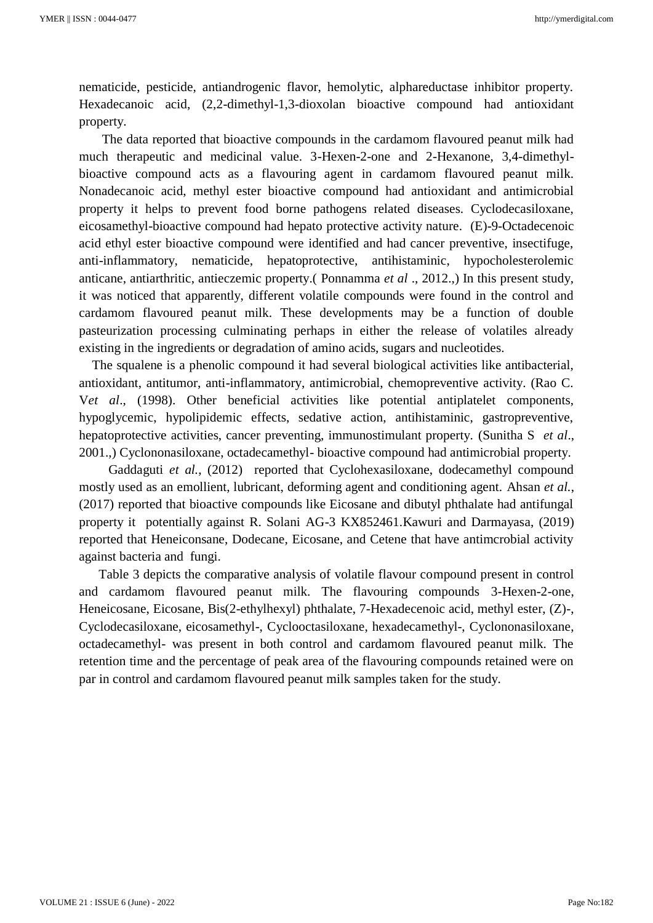nematicide, pesticide, antiandrogenic flavor, hemolytic, alphareductase inhibitor property. Hexadecanoic acid, (2,2-dimethyl-1,3-dioxolan bioactive compound had antioxidant property.

 The data reported that bioactive compounds in the cardamom flavoured peanut milk had much therapeutic and medicinal value. 3-Hexen-2-one and 2-Hexanone, 3,4-dimethylbioactive compound acts as a flavouring agent in cardamom flavoured peanut milk. Nonadecanoic acid, methyl ester bioactive compound had antioxidant and antimicrobial property it helps to prevent food borne pathogens related diseases. Cyclodecasiloxane, eicosamethyl-bioactive compound had hepato protective activity nature. (E)-9-Octadecenoic acid ethyl ester bioactive compound were identified and had cancer preventive, insectifuge, anti-inflammatory, nematicide, hepatoprotective, antihistaminic, hypocholesterolemic anticane, antiarthritic, antieczemic property.( Ponnamma *et al* ., 2012.,) In this present study, it was noticed that apparently, different volatile compounds were found in the control and cardamom flavoured peanut milk. These developments may be a function of double pasteurization processing culminating perhaps in either the release of volatiles already existing in the ingredients or degradation of amino acids, sugars and nucleotides.

 The squalene is a phenolic compound it had several biological activities like antibacterial, antioxidant, antitumor, anti-inflammatory, antimicrobial, chemopreventive activity. (Rao C. V*et al*., (1998). Other beneficial activities like potential antiplatelet components, hypoglycemic, hypolipidemic effects, sedative action, antihistaminic, gastropreventive, hepatoprotective activities, cancer preventing, immunostimulant property. (Sunitha S *et al*., 2001.,) Cyclononasiloxane, octadecamethyl- bioactive compound had antimicrobial property.

[Gaddaguti](#page-9-3) *et al.*, (2012) reported that Cyclohexasiloxane, dodecamethyl compound mostly used as an emollient, lubricant, deforming agent and conditioning agent. [Ahsan](#page-9-4) *et al.*, [\(2017\)](#page-9-4) reported that bioactive compounds like Eicosane and dibutyl phthalate had antifungal property it potentially against R. Solani AG-3 KX852461[.Kawuri and Darmayasa, \(2019\)](#page-9-5) reported that Heneiconsane, Dodecane, Eicosane, and Cetene that have antimcrobial activity against bacteria and fungi.

 Table 3 depicts the comparative analysis of volatile flavour compound present in control and cardamom flavoured peanut milk. The flavouring compounds 3-Hexen-2-one, Heneicosane, Eicosane, Bis(2-ethylhexyl) phthalate, 7-Hexadecenoic acid, methyl ester, (Z)-, Cyclodecasiloxane, eicosamethyl-, Cyclooctasiloxane, hexadecamethyl-, Cyclononasiloxane, octadecamethyl- was present in both control and cardamom flavoured peanut milk. The retention time and the percentage of peak area of the flavouring compounds retained were on par in control and cardamom flavoured peanut milk samples taken for the study.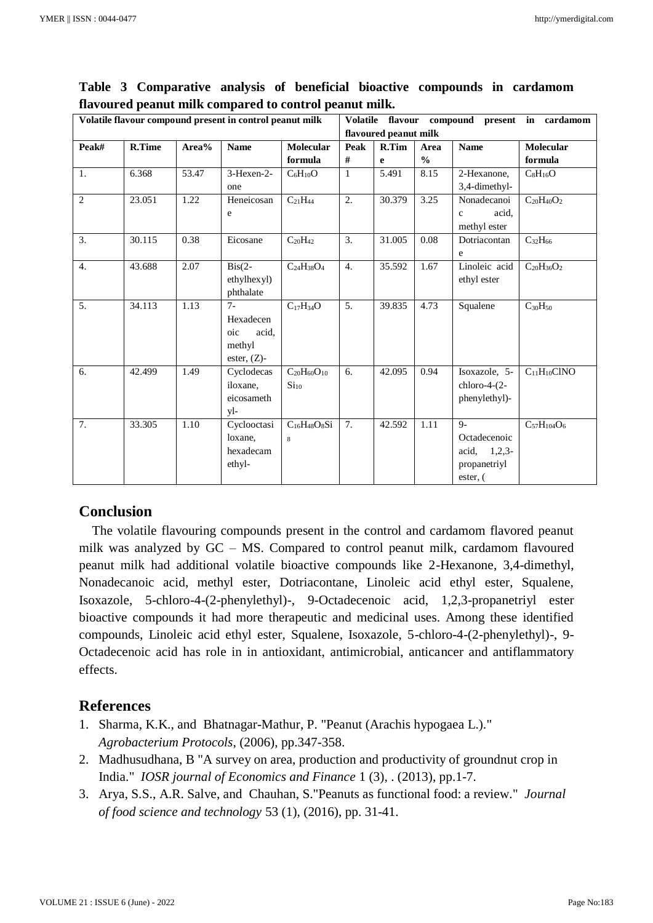| Volatile flavour compound present in control peanut milk |        |       |                          | Volatile flavour compound present in cardamom |                  |              |               |                       |                    |
|----------------------------------------------------------|--------|-------|--------------------------|-----------------------------------------------|------------------|--------------|---------------|-----------------------|--------------------|
|                                                          |        |       |                          | flavoured peanut milk                         |                  |              |               |                       |                    |
| Peak#                                                    | R.Time | Area% | <b>Name</b>              | Molecular                                     | Peak             | <b>R.Tim</b> | Area          | <b>Name</b>           | Molecular          |
|                                                          |        |       |                          | formula                                       | $\#$             | $\mathbf e$  | $\frac{0}{0}$ |                       | formula            |
| 1.                                                       | 6.368  | 53.47 | 3-Hexen-2-               | $C_6H_{10}O$                                  | $\mathbf{1}$     | 5.491        | 8.15          | 2-Hexanone,           | $C_8H_{16}O$       |
|                                                          |        |       | one                      |                                               |                  |              |               | 3,4-dimethyl-         |                    |
| $\overline{2}$                                           | 23.051 | 1.22  | Heneicosan               | $C_{21}H_{44}$                                | 2.               | 30.379       | 3.25          | Nonadecanoi           | $C_{20}H_{40}O_2$  |
|                                                          |        |       | e                        |                                               |                  |              |               | acid.<br>$\mathbf{c}$ |                    |
|                                                          |        |       |                          |                                               |                  |              |               | methyl ester          |                    |
| 3.                                                       | 30.115 | 0.38  | Eicosane                 | $C_{20}H_{42}$                                | 3.               | 31.005       | 0.08          | Dotriacontan          | $C_{32}H_{66}$     |
|                                                          |        |       |                          |                                               |                  |              |               | e                     |                    |
| 4.                                                       | 43.688 | 2.07  | $\operatorname{Bis}(2-)$ | $C_{24}H_{38}O_4$                             | 4.               | 35.592       | 1.67          | Linoleic acid         | $C_{20}H_{36}O_2$  |
|                                                          |        |       | ethylhexyl)              |                                               |                  |              |               | ethyl ester           |                    |
|                                                          |        |       | phthalate                |                                               |                  |              |               |                       |                    |
| $\overline{5}$ .                                         | 34.113 | 1.13  | $7-$                     | $C_{17}H_{34}O$                               | $\overline{5}$ . | 39.835       | 4.73          | Squalene              | $C_{30}H_{50}$     |
|                                                          |        |       | Hexadecen                |                                               |                  |              |               |                       |                    |
|                                                          |        |       | oic<br>acid.             |                                               |                  |              |               |                       |                    |
|                                                          |        |       | methyl                   |                                               |                  |              |               |                       |                    |
|                                                          |        |       | ester, $(Z)$ -           |                                               |                  |              |               |                       |                    |
| 6.                                                       | 42.499 | 1.49  | Cyclodecas               | $C_{20}H_{60}O_{10}$                          | 6.               | 42.095       | 0.94          | Isoxazole, 5-         | $C_{11}H_{10}CINO$ |
|                                                          |        |       | iloxane.                 | Si <sub>10</sub>                              |                  |              |               | chloro-4- $(2-$       |                    |
|                                                          |        |       | eicosameth               |                                               |                  |              |               | phenylethyl)-         |                    |
|                                                          |        |       | yl-                      |                                               |                  |              |               |                       |                    |
| 7.                                                       | 33.305 | 1.10  | Cyclooctasi              | $C_{16}H_{48}O_8Si$                           | 7.               | 42.592       | 1.11          | $Q_{-}$               | $C_{57}H_{104}O_6$ |
|                                                          |        |       | loxane.                  | 8                                             |                  |              |               | Octadecenoic          |                    |
|                                                          |        |       | hexadecam                |                                               |                  |              |               | acid.<br>$1,2,3-$     |                    |
|                                                          |        |       | ethyl-                   |                                               |                  |              |               | propanetriyl          |                    |
|                                                          |        |       |                          |                                               |                  |              |               | ester, (              |                    |

**Table 3 Comparative analysis of beneficial bioactive compounds in cardamom flavoured peanut milk compared to control peanut milk.**

# **Conclusion**

The volatile flavouring compounds present in the control and cardamom flavored peanut milk was analyzed by GC – MS. Compared to control peanut milk, cardamom flavoured peanut milk had additional volatile bioactive compounds like 2-Hexanone, 3,4-dimethyl, Nonadecanoic acid, methyl ester, Dotriacontane, Linoleic acid ethyl ester, Squalene, Isoxazole, 5-chloro-4-(2-phenylethyl)-, 9-Octadecenoic acid, 1,2,3-propanetriyl ester bioactive compounds it had more therapeutic and medicinal uses. Among these identified compounds, Linoleic acid ethyl ester, Squalene, Isoxazole, 5-chloro-4-(2-phenylethyl)-, 9- Octadecenoic acid has role in in antioxidant, antimicrobial, anticancer and antiflammatory effects.

# **References**

- <span id="page-8-0"></span>1. Sharma, K.K., and Bhatnagar-Mathur, P. "Peanut (Arachis hypogaea L.)." *Agrobacterium Protocols*, (2006), pp.347-358.
- <span id="page-8-1"></span>2. Madhusudhana, B "A survey on area, production and productivity of groundnut crop in India." *IOSR journal of Economics and Finance* 1 (3), . (2013), pp.1-7.
- <span id="page-8-2"></span>3. Arya, S.S., A.R. Salve, and Chauhan, S."Peanuts as functional food: a review." *Journal of food science and technology* 53 (1), (2016), pp. 31-41.